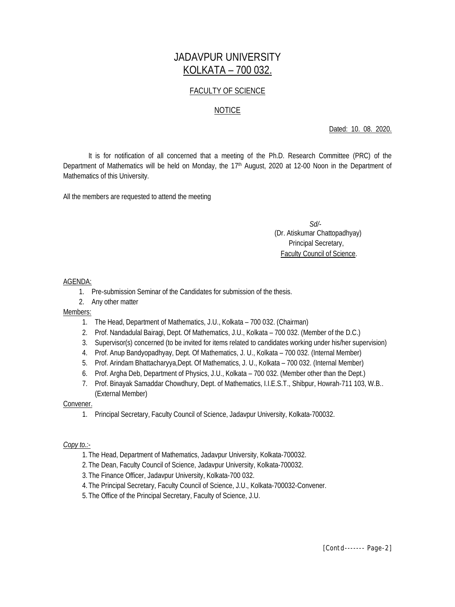# JADAVPUR UNIVERSITY KOLKATA – 700 032.

# FACULTY OF SCIENCE

# NOTICE

Dated: 10. 08. 2020.

It is for notification of all concerned that a meeting of the Ph.D. Research Committee (PRC) of the Department of Mathematics will be held on Monday, the 17<sup>th</sup> August, 2020 at 12-00 Noon in the Department of Mathematics of this University.

All the members are requested to attend the meeting

 *Sd/-* (Dr. Atiskumar Chattopadhyay) Principal Secretary, Faculty Council of Science.

#### AGENDA:

- 1. Pre-submission Seminar of the Candidates for submission of the thesis.
- 2. Any other matter

## Members:

- 1. The Head, Department of Mathematics, J.U., Kolkata 700 032. (Chairman)
- 2. Prof. Nandadulal Bairagi, Dept. Of Mathematics, J.U., Kolkata 700 032. (Member of the D.C.)
- 3. Supervisor(s) concerned (to be invited for items related to candidates working under his/her supervision)
- 4. Prof. Anup Bandyopadhyay, Dept. Of Mathematics, J. U., Kolkata 700 032. (Internal Member)
- 5. Prof. Arindam Bhattacharyya,Dept. Of Mathematics, J. U., Kolkata 700 032. (Internal Member)
- 6. Prof. Argha Deb, Department of Physics, J.U., Kolkata 700 032. (Member other than the Dept.)
- 7. Prof. Binayak Samaddar Chowdhury, Dept. of Mathematics, I.I.E.S.T., Shibpur, Howrah-711 103, W.B.. (External Member)

## Convener.

1. Principal Secretary, Faculty Council of Science, Jadavpur University, Kolkata-700032.

## *Copy to.:-*

- 1.The Head, Department of Mathematics, Jadavpur University, Kolkata-700032.
- 2.The Dean, Faculty Council of Science, Jadavpur University, Kolkata-700032.
- 3.The Finance Officer, Jadavpur University, Kolkata-700 032.
- 4.The Principal Secretary, Faculty Council of Science, J.U., Kolkata-700032-Convener.
- 5.The Office of the Principal Secretary, Faculty of Science, J.U.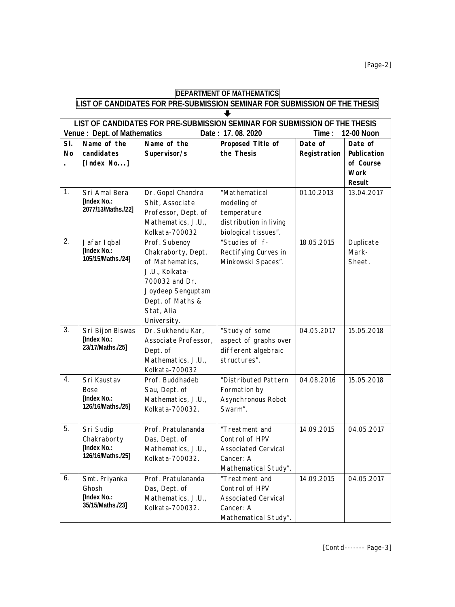# **DEPARTMENT OF MATHEMATICS LIST OF CANDIDATES FOR PRE-SUBMISSION SEMINAR FOR SUBMISSION OF THE THESIS**  $\overline{\bullet}$

| LIST OF CANDIDATES FOR PRE-SUBMISSION SEMINAR FOR SUBMISSION OF THE THESIS           |                                  |                      |                            |              |               |  |  |  |  |
|--------------------------------------------------------------------------------------|----------------------------------|----------------------|----------------------------|--------------|---------------|--|--|--|--|
| Date: 17.08.2020<br><b>Venue: Dept. of Mathematics</b><br>Time:<br><b>12-00 Noon</b> |                                  |                      |                            |              |               |  |  |  |  |
| SI.                                                                                  | Name of the                      | Name of the          | Proposed Title of          | Date of      | Date of       |  |  |  |  |
| <b>No</b>                                                                            | candidates                       | Supervisor/s         | the Thesis                 | Registration | Publication   |  |  |  |  |
|                                                                                      | [Index No]                       |                      |                            |              | of Course     |  |  |  |  |
|                                                                                      |                                  |                      |                            |              | <b>Work</b>   |  |  |  |  |
|                                                                                      |                                  |                      |                            |              | <b>Result</b> |  |  |  |  |
| 1.                                                                                   | Sri Amal Bera                    | Dr. Gopal Chandra    | "Mathematical              | 01.10.2013   | 13.04.2017    |  |  |  |  |
|                                                                                      | [Index No.:                      | Shit, Associate      | modeling of                |              |               |  |  |  |  |
|                                                                                      | 2077/13/Maths./22]               | Professor, Dept. of  | temperature                |              |               |  |  |  |  |
|                                                                                      |                                  | Mathematics, J.U.,   | distribution in living     |              |               |  |  |  |  |
|                                                                                      |                                  | Kolkata-700032       | biological tissues".       |              |               |  |  |  |  |
| 2.                                                                                   | Jafar I qbal                     | Prof. Subenoy        | "Studies of f-             | 18.05.2015   | Duplicate     |  |  |  |  |
|                                                                                      | [Index No.:                      | Chakraborty, Dept.   | Rectifying Curves in       |              | Mark-         |  |  |  |  |
|                                                                                      | 105/15/Maths./24]                | of Mathematics,      | Minkowski Spaces".         |              | Sheet.        |  |  |  |  |
|                                                                                      |                                  | J.U., Kolkata-       |                            |              |               |  |  |  |  |
|                                                                                      |                                  | 700032 and Dr.       |                            |              |               |  |  |  |  |
|                                                                                      |                                  | Joydeep Senguptam    |                            |              |               |  |  |  |  |
|                                                                                      |                                  | Dept. of Maths &     |                            |              |               |  |  |  |  |
|                                                                                      |                                  | Stat, Alia           |                            |              |               |  |  |  |  |
|                                                                                      |                                  | University.          |                            |              |               |  |  |  |  |
| $\overline{3}$ .                                                                     | Sri Bijon Biswas                 | Dr. Sukhendu Kar,    | "Study of some             | 04.05.2017   | 15.05.2018    |  |  |  |  |
|                                                                                      | [Index No.:                      | Associate Professor, | aspect of graphs over      |              |               |  |  |  |  |
|                                                                                      | 23/17/Maths./25]                 | Dept. of             | different algebraic        |              |               |  |  |  |  |
|                                                                                      |                                  | Mathematics, J.U.,   | structures".               |              |               |  |  |  |  |
|                                                                                      |                                  | Kolkata-700032       |                            |              |               |  |  |  |  |
| 4.                                                                                   | Sri Kaustav                      | Prof. Buddhadeb      | "Distributed Pattern       | 04.08.2016   | 15.05.2018    |  |  |  |  |
|                                                                                      | <b>Bose</b>                      | Sau, Dept. of        | Formation by               |              |               |  |  |  |  |
|                                                                                      | [Index No.:                      | Mathematics, J.U.,   | Asynchronous Robot         |              |               |  |  |  |  |
|                                                                                      | 126/16/Maths./25]                | Kolkata-700032.      | Swarm".                    |              |               |  |  |  |  |
|                                                                                      |                                  |                      |                            |              |               |  |  |  |  |
| 5.                                                                                   | Sri Sudip                        | Prof. Pratulananda   | "Treatment and             | 14.09.2015   | 04.05.2017    |  |  |  |  |
|                                                                                      | Chakraborty                      | Das, Dept. of        | Control of HPV             |              |               |  |  |  |  |
|                                                                                      | [Index No.:<br>126/16/Maths./25] | Mathematics, J.U.,   | <b>Associated Cervical</b> |              |               |  |  |  |  |
|                                                                                      |                                  | Kolkata-700032.      | Cancer: A                  |              |               |  |  |  |  |
|                                                                                      |                                  |                      | Mathematical Study".       |              |               |  |  |  |  |
| 6.                                                                                   | Smt. Priyanka                    | Prof. Pratulananda   | "Treatment and             | 14.09.2015   | 04.05.2017    |  |  |  |  |
|                                                                                      | Ghosh                            | Das, Dept. of        | Control of HPV             |              |               |  |  |  |  |
|                                                                                      | [Index No.:<br>35/15/Maths./23]  | Mathematics, J.U.,   | <b>Associated Cervical</b> |              |               |  |  |  |  |
|                                                                                      |                                  | Kolkata-700032.      | Cancer: A                  |              |               |  |  |  |  |
|                                                                                      |                                  |                      | Mathematical Study".       |              |               |  |  |  |  |